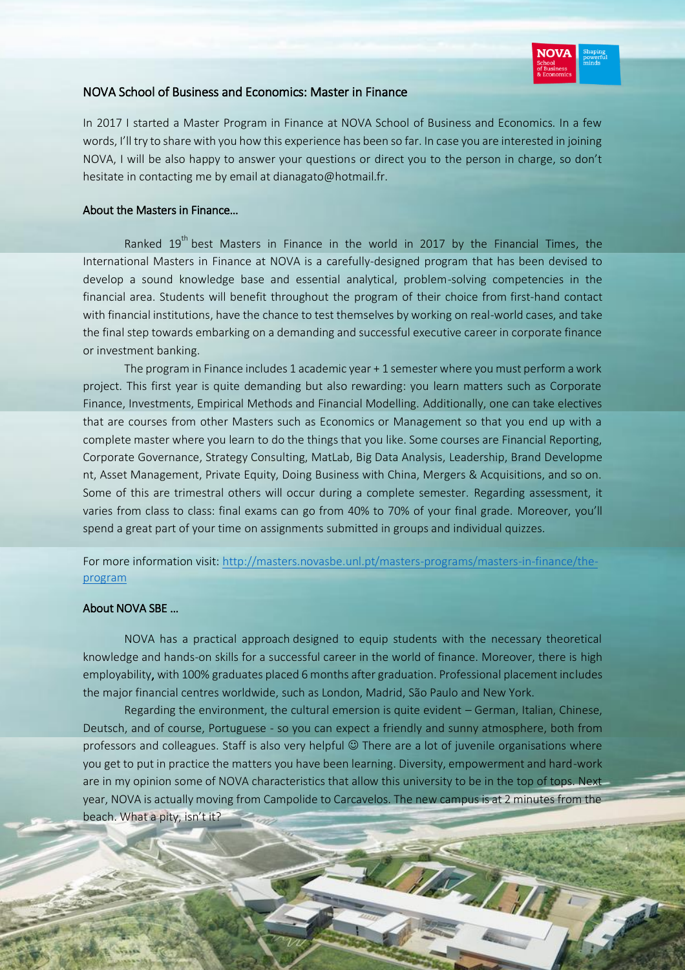

# NOVA School of Business and Economics: Master in Finance

In 2017 I started a Master Program in Finance at NOVA School of Business and Economics. In a few words, I'll try to share with you how this experience has been so far. In case you are interested in joining NOVA, I will be also happy to answer your questions or direct you to the person in charge, so don't hesitate in contacting me by email at dianagato@hotmail.fr.

## About the Masters in Finance…

Ranked 19<sup>th</sup> best Masters in Finance in the world in 2017 by the Financial Times, the International Masters in Finance at NOVA is a carefully-designed program that has been devised to develop a sound knowledge base and essential analytical, problem-solving competencies in the financial area. Students will benefit throughout the program of their choice from first-hand contact with financial institutions, have the chance to test themselves by working on real-world cases, and take the final step towards embarking on a demanding and successful executive career in corporate finance or investment banking.

The program in Finance includes 1 academic year + 1 semester where you must perform a work project. This first year is quite demanding but also rewarding: you learn matters such as Corporate Finance, Investments, Empirical Methods and Financial Modelling. Additionally, one can take electives that are courses from other Masters such as Economics or Management so that you end up with a complete master where you learn to do the things that you like. Some courses are Financial Reporting, Corporate Governance, Strategy Consulting, MatLab, Big Data Analysis, Leadership, Brand Developme nt, Asset Management, Private Equity, Doing Business with China, Mergers & Acquisitions, and so on. Some of this are trimestral others will occur during a complete semester. Regarding assessment, it varies from class to class: final exams can go from 40% to 70% of your final grade. Moreover, you'll spend a great part of your time on assignments submitted in groups and individual quizzes.

# For more information visit: [http://masters.novasbe.unl.pt/masters-programs/masters-in-finance/the](http://masters.novasbe.unl.pt/masters-programs/masters-in-finance/the-program)[program](http://masters.novasbe.unl.pt/masters-programs/masters-in-finance/the-program)

### About NOVA SBE …

NOVA has a practical approach designed to equip students with the necessary theoretical knowledge and hands-on skills for a successful career in the world of finance. Moreover, there is high employability, with 100% graduates placed 6 months after graduation. Professional placement includes the major financial centres worldwide, such as London, Madrid, São Paulo and New York.

Regarding the environment, the cultural emersion is quite evident – German, Italian, Chinese, Deutsch, and of course, Portuguese - so you can expect a friendly and sunny atmosphere, both from professors and colleagues. Staff is also very helpful  $\odot$  There are a lot of juvenile organisations where you get to put in practice the matters you have been learning. Diversity, empowerment and hard-work are in my opinion some of NOVA characteristics that allow this university to be in the top of tops. Next year, NOVA is actually moving from Campolide to Carcavelos. The new campus is at 2 minutes from the beach. What a pity, isn't it?

Walkerson 1